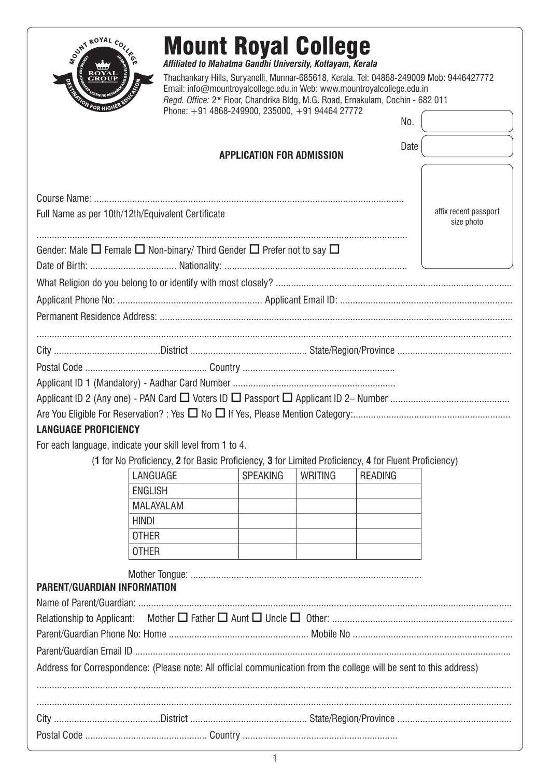| <b>FOR HIGH</b>                                           |                                                                                                                     | Email: info@mountroyalcollege.edu.in Web: www.mountroyalcollege.edu.in<br>Regd. Office: 2 <sup>nd</sup> Floor, Chandrika Bldg, M.G. Road, Ernakulam, Cochin - 682 011<br>Phone: +91 4868-249900, 235000, +91 94464 27772 |                |                |                                     |
|-----------------------------------------------------------|---------------------------------------------------------------------------------------------------------------------|--------------------------------------------------------------------------------------------------------------------------------------------------------------------------------------------------------------------------|----------------|----------------|-------------------------------------|
|                                                           |                                                                                                                     |                                                                                                                                                                                                                          |                | No.            |                                     |
|                                                           |                                                                                                                     | <b>APPLICATION FOR ADMISSION</b>                                                                                                                                                                                         |                | Date           |                                     |
|                                                           |                                                                                                                     |                                                                                                                                                                                                                          |                |                |                                     |
|                                                           | Full Name as per 10th/12th/Equivalent Certificate                                                                   |                                                                                                                                                                                                                          |                |                | affix recent passport<br>size photo |
|                                                           | Gender: Male $\Box$ Female $\Box$ Non-binary/ Third Gender $\Box$ Prefer not to say $\Box$                          |                                                                                                                                                                                                                          |                |                |                                     |
|                                                           |                                                                                                                     |                                                                                                                                                                                                                          |                |                |                                     |
|                                                           |                                                                                                                     |                                                                                                                                                                                                                          |                |                |                                     |
|                                                           |                                                                                                                     |                                                                                                                                                                                                                          |                |                |                                     |
|                                                           |                                                                                                                     |                                                                                                                                                                                                                          |                |                |                                     |
|                                                           |                                                                                                                     |                                                                                                                                                                                                                          |                |                |                                     |
|                                                           |                                                                                                                     |                                                                                                                                                                                                                          |                |                |                                     |
|                                                           |                                                                                                                     |                                                                                                                                                                                                                          |                |                |                                     |
|                                                           |                                                                                                                     |                                                                                                                                                                                                                          |                |                |                                     |
| <b>LANGUAGE PROFICIENCY</b>                               |                                                                                                                     |                                                                                                                                                                                                                          |                |                |                                     |
|                                                           | For each language, indicate your skill level from 1 to 4.                                                           |                                                                                                                                                                                                                          |                |                |                                     |
|                                                           | (1 for No Proficiency, 2 for Basic Proficiency, 3 for Limited Proficiency, 4 for Fluent Proficiency)                |                                                                                                                                                                                                                          |                |                |                                     |
|                                                           | LANGUAGE                                                                                                            | <b>SPEAKING</b>                                                                                                                                                                                                          | <b>WRITING</b> | <b>READING</b> |                                     |
|                                                           | <b>ENGLISH</b>                                                                                                      |                                                                                                                                                                                                                          |                |                |                                     |
|                                                           |                                                                                                                     |                                                                                                                                                                                                                          |                |                |                                     |
|                                                           | MALAYALAM                                                                                                           |                                                                                                                                                                                                                          |                |                |                                     |
|                                                           | <b>HINDI</b>                                                                                                        |                                                                                                                                                                                                                          |                |                |                                     |
|                                                           | <b>OTHER</b>                                                                                                        |                                                                                                                                                                                                                          |                |                |                                     |
|                                                           | <b>OTHER</b>                                                                                                        |                                                                                                                                                                                                                          |                |                |                                     |
|                                                           |                                                                                                                     |                                                                                                                                                                                                                          |                |                |                                     |
|                                                           |                                                                                                                     |                                                                                                                                                                                                                          |                |                |                                     |
|                                                           |                                                                                                                     |                                                                                                                                                                                                                          |                |                |                                     |
|                                                           |                                                                                                                     |                                                                                                                                                                                                                          |                |                |                                     |
|                                                           |                                                                                                                     |                                                                                                                                                                                                                          |                |                |                                     |
|                                                           |                                                                                                                     |                                                                                                                                                                                                                          |                |                |                                     |
| PARENT/GUARDIAN INFORMATION<br>Relationship to Applicant: | Address for Correspondence: (Please note: All official communication from the college will be sent to this address) |                                                                                                                                                                                                                          |                |                |                                     |
|                                                           |                                                                                                                     |                                                                                                                                                                                                                          |                |                |                                     |
|                                                           |                                                                                                                     |                                                                                                                                                                                                                          |                |                |                                     |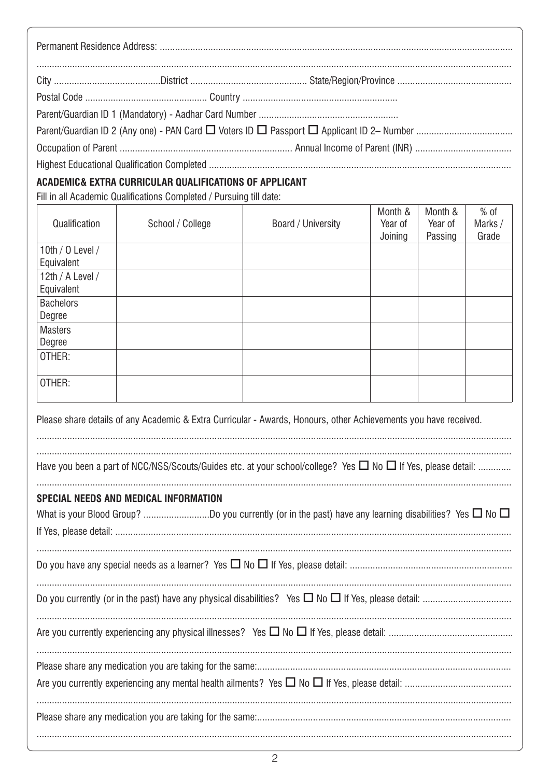| ACADEMIC& EXTRA CURRICULAR QUALIFICATIONS OF APPLICANT |  |  |
|--------------------------------------------------------|--|--|
|                                                        |  |  |

Fill in all Academic Qualifications Completed / Pursuing till date:

| Qualification                                                                                                                                                    | School / College | Board / University | Month &<br>Year of<br>Joining | Month &<br>Year of<br>Passing | $%$ of<br>Marks /<br>Grade |
|------------------------------------------------------------------------------------------------------------------------------------------------------------------|------------------|--------------------|-------------------------------|-------------------------------|----------------------------|
| 10th / $0$ Level /<br>Equivalent                                                                                                                                 |                  |                    |                               |                               |                            |
| 12th / A Level /<br>Equivalent                                                                                                                                   |                  |                    |                               |                               |                            |
| <b>Bachelors</b><br>Degree                                                                                                                                       |                  |                    |                               |                               |                            |
| <b>Masters</b><br>Degree                                                                                                                                         |                  |                    |                               |                               |                            |
| OTHER:                                                                                                                                                           |                  |                    |                               |                               |                            |
| OTHER:                                                                                                                                                           |                  |                    |                               |                               |                            |
| Please share details of any Academic & Extra Curricular - Awards, Honours, other Achievements you have received.                                                 |                  |                    |                               |                               |                            |
| Have you been a part of NCC/NSS/Scouts/Guides etc. at your school/college? Yes $\Box$ No $\Box$ If Yes, please detail:                                           |                  |                    |                               |                               |                            |
| <b>SPECIAL NEEDS AND MEDICAL INFORMATION</b><br>What is your Blood Group? Do you currently (or in the past) have any learning disabilities? Yes $\Box$ No $\Box$ |                  |                    |                               |                               |                            |
|                                                                                                                                                                  |                  |                    |                               |                               |                            |
|                                                                                                                                                                  |                  |                    |                               |                               |                            |
|                                                                                                                                                                  |                  |                    |                               |                               |                            |
|                                                                                                                                                                  |                  |                    |                               |                               |                            |
|                                                                                                                                                                  |                  |                    |                               |                               |                            |
|                                                                                                                                                                  |                  |                    |                               |                               |                            |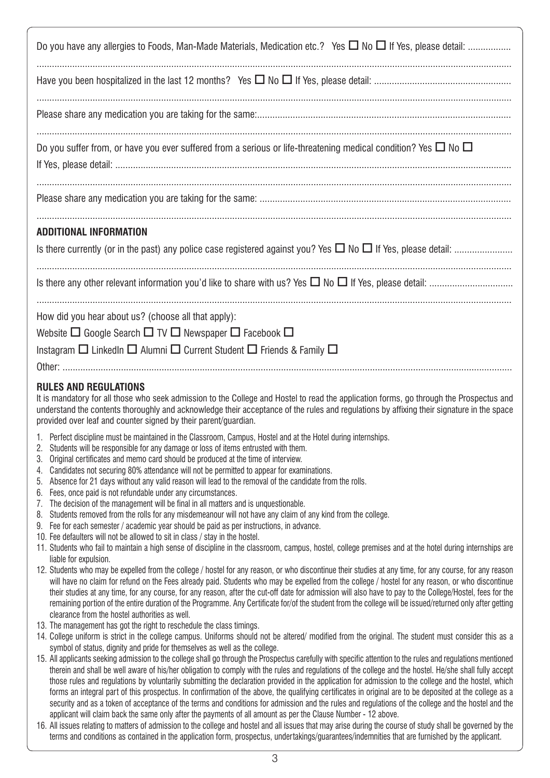| Do you have any allergies to Foods, Man-Made Materials, Medication etc.? Yes $\Box$ No $\Box$ If Yes, please detail:                                                                                                                                                                                                                                                                                                                                                        |
|-----------------------------------------------------------------------------------------------------------------------------------------------------------------------------------------------------------------------------------------------------------------------------------------------------------------------------------------------------------------------------------------------------------------------------------------------------------------------------|
|                                                                                                                                                                                                                                                                                                                                                                                                                                                                             |
|                                                                                                                                                                                                                                                                                                                                                                                                                                                                             |
| Do you suffer from, or have you ever suffered from a serious or life-threatening medical condition? Yes $\Box$ No $\Box$                                                                                                                                                                                                                                                                                                                                                    |
|                                                                                                                                                                                                                                                                                                                                                                                                                                                                             |
| <b>ADDITIONAL INFORMATION</b>                                                                                                                                                                                                                                                                                                                                                                                                                                               |
|                                                                                                                                                                                                                                                                                                                                                                                                                                                                             |
|                                                                                                                                                                                                                                                                                                                                                                                                                                                                             |
| How did you hear about us? (choose all that apply):                                                                                                                                                                                                                                                                                                                                                                                                                         |
| Website $\Box$ Google Search $\Box$ TV $\Box$ Newspaper $\Box$ Facebook $\Box$                                                                                                                                                                                                                                                                                                                                                                                              |
| Instagram $\square$ LinkedIn $\square$ Alumni $\square$ Current Student $\square$ Friends & Family $\square$                                                                                                                                                                                                                                                                                                                                                                |
|                                                                                                                                                                                                                                                                                                                                                                                                                                                                             |
|                                                                                                                                                                                                                                                                                                                                                                                                                                                                             |
| <b>RULES AND REGULATIONS</b><br>It is mandatory for all those who seek admission to the College and Hostel to read the application forms, go through the Prospectus and<br>understand the contents thoroughly and acknowledge their acceptance of the rules and regulations by affixing their signature in the space<br>provided over leaf and counter signed by their parent/guardian.                                                                                     |
| 1. Perfect discipline must be maintained in the Classroom, Campus, Hostel and at the Hotel during internships.<br>Students will be responsible for any damage or loss of items entrusted with them.                                                                                                                                                                                                                                                                         |
| Original certificates and memo card should be produced at the time of interview.<br>3.                                                                                                                                                                                                                                                                                                                                                                                      |
| Candidates not securing 80% attendance will not be permitted to appear for examinations.<br>4.                                                                                                                                                                                                                                                                                                                                                                              |
| Absence for 21 days without any valid reason will lead to the removal of the candidate from the rolls.<br>5.<br>Fees, once paid is not refundable under any circumstances.                                                                                                                                                                                                                                                                                                  |
| 6.<br>The decision of the management will be final in all matters and is unquestionable.<br>7.                                                                                                                                                                                                                                                                                                                                                                              |
| Students removed from the rolls for any misdemeanour will not have any claim of any kind from the college.<br>8.<br>9. Fee for each semester / academic year should be paid as per instructions, in advance.                                                                                                                                                                                                                                                                |
| 10. Fee defaulters will not be allowed to sit in class / stay in the hostel.                                                                                                                                                                                                                                                                                                                                                                                                |
| 11. Students who fail to maintain a high sense of discipline in the classroom, campus, hostel, college premises and at the hotel during internships are                                                                                                                                                                                                                                                                                                                     |
| liable for expulsion.<br>12. Students who may be expelled from the college / hostel for any reason, or who discontinue their studies at any time, for any course, for any reason                                                                                                                                                                                                                                                                                            |
| will have no claim for refund on the Fees already paid. Students who may be expelled from the college / hostel for any reason, or who discontinue<br>their studies at any time, for any course, for any reason, after the cut-off date for admission will also have to pay to the College/Hostel, fees for the<br>remaining portion of the entire duration of the Programme. Any Certificate for/of the student from the college will be issued/returned only after getting |
| clearance from the hostel authorities as well.                                                                                                                                                                                                                                                                                                                                                                                                                              |
| 13. The management has got the right to reschedule the class timings.<br>14. College uniform is strict in the college campus. Uniforms should not be altered/modified from the original. The student must consider this as a                                                                                                                                                                                                                                                |
| symbol of status, dignity and pride for themselves as well as the college.<br>15. All applicants seeking admission to the college shall go through the Prospectus carefully with specific attention to the rules and regulations mentioned                                                                                                                                                                                                                                  |
| therein and shall be well aware of his/her obligation to comply with the rules and regulations of the college and the hostel. He/she shall fully accept<br>those rules and regulations by voluntarily submitting the declaration provided in the application for admission to the college and the hostel, which<br>forms an integral part of this prospectus. In confirmation of the above, the qualifying certificates in original are to be deposited at the college as a |
| security and as a token of acceptance of the terms and conditions for admission and the rules and regulations of the college and the hostel and the<br>applicant will claim back the same only after the payments of all amount as per the Clause Number - 12 above.                                                                                                                                                                                                        |

16. All issues relating to matters of admission to the college and hostel and all issues that may arise during the course of study shall be governed by the terms and conditions as contained in the application form, prospectus, undertakings/guarantees/indemnities that are furnished by the applicant.